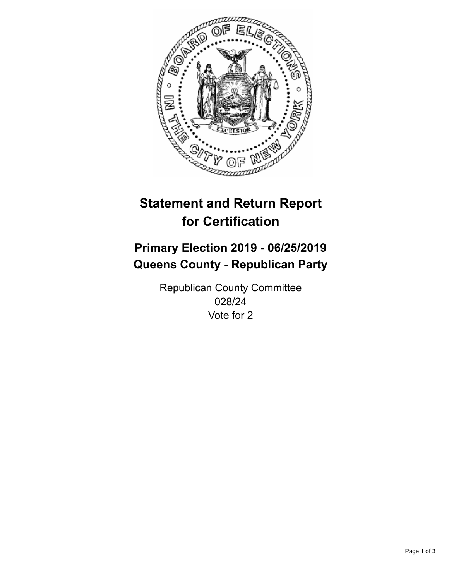

## **Statement and Return Report for Certification**

## **Primary Election 2019 - 06/25/2019 Queens County - Republican Party**

Republican County Committee 028/24 Vote for 2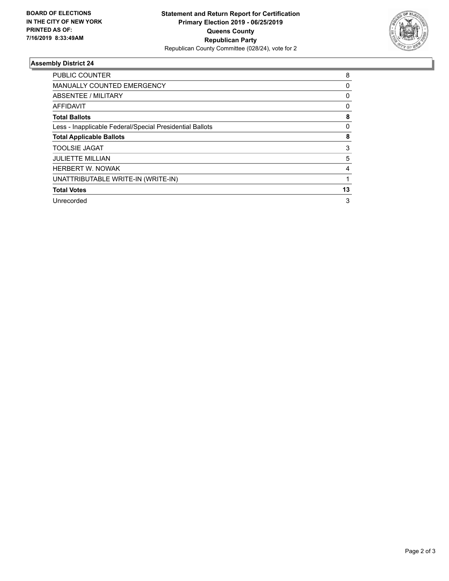

## **Assembly District 24**

| <b>PUBLIC COUNTER</b>                                    | 8            |
|----------------------------------------------------------|--------------|
| MANUALLY COUNTED EMERGENCY                               | 0            |
| ABSENTEE / MILITARY                                      | 0            |
| AFFIDAVIT                                                | $\mathbf{0}$ |
| <b>Total Ballots</b>                                     | 8            |
| Less - Inapplicable Federal/Special Presidential Ballots | 0            |
| <b>Total Applicable Ballots</b>                          | 8            |
| <b>TOOLSIE JAGAT</b>                                     | 3            |
| <b>JULIETTE MILLIAN</b>                                  | 5            |
| <b>HERBERT W. NOWAK</b>                                  | 4            |
| UNATTRIBUTABLE WRITE-IN (WRITE-IN)                       |              |
| <b>Total Votes</b>                                       | 13           |
| Unrecorded                                               | 3            |